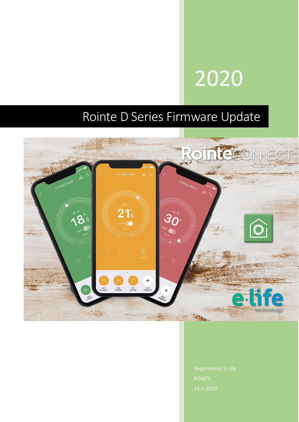# 2020

## Rointe D Series Firmware Update



14-1-2020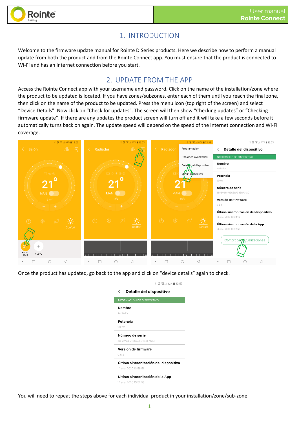

### 1. INTRODUCTION

Welcome to the firmware update manual for Rointe D Series products. Here we describe how to perform a manual update from both the product and from the Rointe Connect app. You must ensure that the product is connected to Wi-Fi and has an internet connection before you start.

#### 2. UPDATE FROM THE APP

Access the Rointe Connect app with your username and password. Click on the name of the installation/zone where the product to be updated is located. If you have zones/subzones, enter each of them until you reach the final zone, then click on the name of the product to be updated. Press the menu icon (top right of the screen) and select "Device Details". Now click on "Check for updates". The screen will then show "Checking updates" or "Checking firmware update". If there are any updates the product screen will turn off and it will take a few seconds before it automatically turns back on again. The update speed will depend on the speed of the internet connection and Wi-Fi coverage.



Once the product has updated, go back to the app and click on "device details" again to check.

| Detalle del dispositivo               |
|---------------------------------------|
| INFORMACIÓN DE DISPOSITIVO            |
| Nombre                                |
| Radiador                              |
| Potencia                              |
| 990W                                  |
| Número de serie                       |
| 38F346BF713C38F346BF713C              |
| Versión de firmware                   |
| 068                                   |
| Última sincronización del dispositivo |
| 14 ene. 2020 13:58:51                 |
| Última sincronización de la App       |
| 14 ene. 2020 13:52:56                 |

13:59

You will need to repeat the steps above for each individual product in your installation/zone/sub-zone.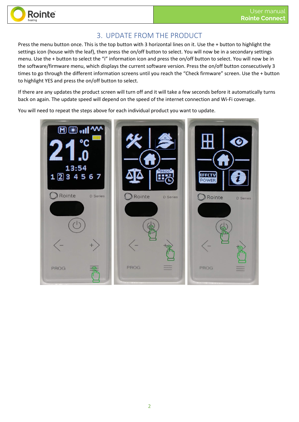

#### 3. UPDATE FROM THE PRODUCT

Press the menu button once. This is the top button with 3 horizontal lines on it. Use the + button to highlight the settings icon (house with the leaf), then press the on/off button to select. You will now be in a secondary settings menu. Use the + button to select the "i" information icon and press the on/off button to select. You will now be in the software/firmware menu, which displays the current software version. Press the on/off button consecutively 3 times to go through the different information screens until you reach the "Check firmware" screen. Use the + button to highlight YES and press the on/off button to select.

If there are any updates the product screen will turn off and it will take a few seconds before it automatically turns back on again. The update speed will depend on the speed of the internet connection and Wi-Fi coverage.

You will need to repeat the steps above for each individual product you want to update.

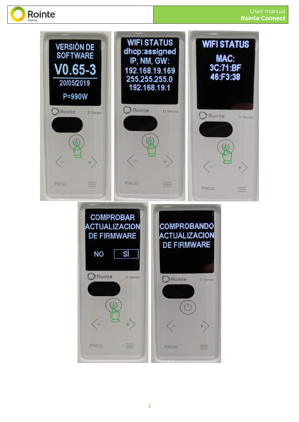

**Rointe**